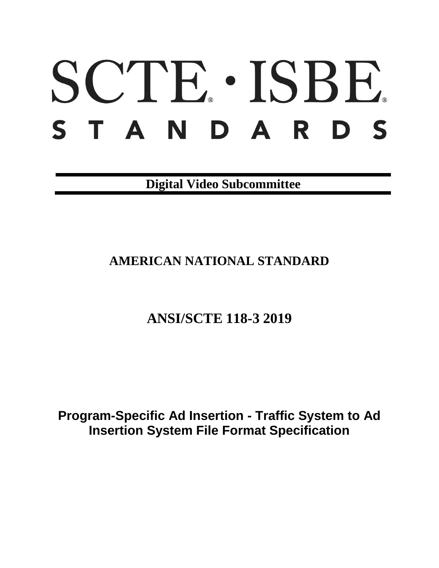# SCTE · ISBE. STANDARDS

**Digital Video Subcommittee**

## **AMERICAN NATIONAL STANDARD**

# **ANSI/SCTE 118-3 2019**

**Program-Specific Ad Insertion - Traffic System to Ad Insertion System File Format Specification**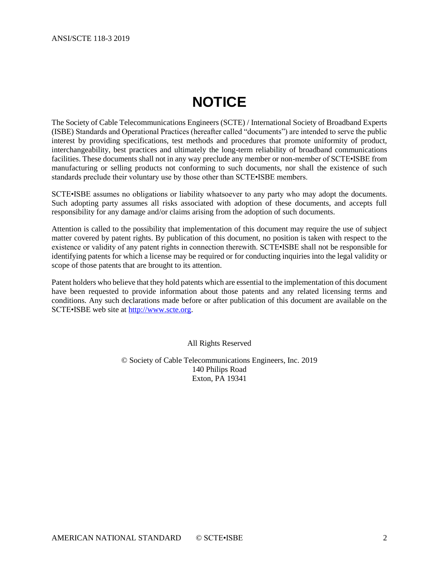# **NOTICE**

<span id="page-1-0"></span>The Society of Cable Telecommunications Engineers (SCTE) / International Society of Broadband Experts (ISBE) Standards and Operational Practices (hereafter called "documents") are intended to serve the public interest by providing specifications, test methods and procedures that promote uniformity of product, interchangeability, best practices and ultimately the long-term reliability of broadband communications facilities. These documents shall not in any way preclude any member or non-member of SCTE•ISBE from manufacturing or selling products not conforming to such documents, nor shall the existence of such standards preclude their voluntary use by those other than SCTE•ISBE members.

SCTE•ISBE assumes no obligations or liability whatsoever to any party who may adopt the documents. Such adopting party assumes all risks associated with adoption of these documents, and accepts full responsibility for any damage and/or claims arising from the adoption of such documents.

Attention is called to the possibility that implementation of this document may require the use of subject matter covered by patent rights. By publication of this document, no position is taken with respect to the existence or validity of any patent rights in connection therewith. SCTE•ISBE shall not be responsible for identifying patents for which a license may be required or for conducting inquiries into the legal validity or scope of those patents that are brought to its attention.

Patent holders who believe that they hold patents which are essential to the implementation of this document have been requested to provide information about those patents and any related licensing terms and conditions. Any such declarations made before or after publication of this document are available on the SCTE•ISBE web site at [http://www.scte.org.](http://www.scte.org/)

All Rights Reserved

© Society of Cable Telecommunications Engineers, Inc. 2019 140 Philips Road Exton, PA 19341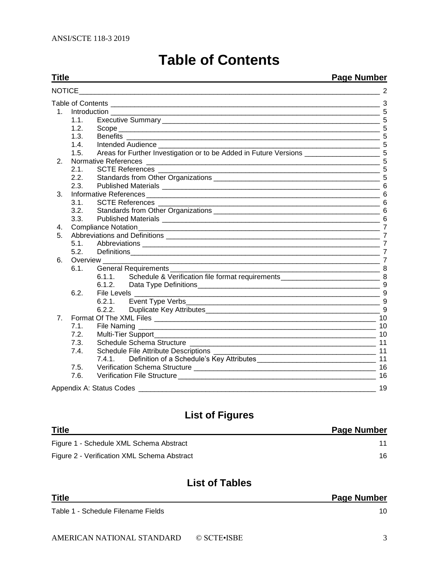#### <span id="page-2-0"></span>**Title Page Number** NOTICE 2 Table of Contents [\\_\\_\\_\\_\\_\\_\\_\\_\\_\\_\\_\\_\\_\\_\\_\\_\\_\\_\\_\\_\\_\\_\\_\\_\\_\\_\\_\\_\\_\\_\\_\\_\\_\\_\\_\\_\\_\\_\\_\\_\\_\\_\\_\\_\\_\\_\\_\\_\\_\\_\\_\\_\\_\\_\\_\\_\\_\\_\\_\\_\\_\\_\\_\\_\\_\\_\\_\\_](#page-2-0) 3 1. Introduction 5 1.1. Executive Summary [\\_\\_\\_\\_\\_\\_\\_\\_\\_\\_\\_\\_\\_\\_\\_\\_\\_\\_\\_\\_\\_\\_\\_\\_\\_\\_\\_\\_\\_\\_\\_\\_\\_\\_\\_\\_\\_\\_\\_\\_\\_\\_\\_\\_\\_\\_\\_\\_\\_\\_\\_\\_\\_\\_\\_](#page-4-1) 5 1.2. Scope [\\_\\_\\_\\_\\_\\_\\_\\_\\_\\_\\_\\_\\_\\_\\_\\_\\_\\_\\_\\_\\_\\_\\_\\_\\_\\_\\_\\_\\_\\_\\_\\_\\_\\_\\_\\_\\_\\_\\_\\_\\_\\_\\_\\_\\_\\_\\_\\_\\_\\_\\_\\_\\_\\_\\_\\_\\_\\_\\_\\_\\_\\_\\_\\_\\_\\_](#page-4-2) 5 1.3. Benefits [\\_\\_\\_\\_\\_\\_\\_\\_\\_\\_\\_\\_\\_\\_\\_\\_\\_\\_\\_\\_\\_\\_\\_\\_\\_\\_\\_\\_\\_\\_\\_\\_\\_\\_\\_\\_\\_\\_\\_\\_\\_\\_\\_\\_\\_\\_\\_\\_\\_\\_\\_\\_\\_\\_\\_\\_\\_\\_\\_\\_\\_\\_\\_\\_](#page-4-3) 5 1.4. Intended Audience [\\_\\_\\_\\_\\_\\_\\_\\_\\_\\_\\_\\_\\_\\_\\_\\_\\_\\_\\_\\_\\_\\_\\_\\_\\_\\_\\_\\_\\_\\_\\_\\_\\_\\_\\_\\_\\_\\_\\_\\_\\_\\_\\_\\_\\_\\_\\_\\_\\_\\_\\_\\_\\_\\_\\_\\_](#page-4-4) 5 1.5. [Areas for Further Investigation or to be Added in Future Versions](#page-4-5) \_\_\_\_\_\_\_\_\_\_\_\_\_\_\_\_\_\_\_\_\_\_\_\_\_\_\_\_ 5 2. Normative References [\\_\\_\\_\\_\\_\\_\\_\\_\\_\\_\\_\\_\\_\\_\\_\\_\\_\\_\\_\\_\\_\\_\\_\\_\\_\\_\\_\\_\\_\\_\\_\\_\\_\\_\\_\\_\\_\\_\\_\\_\\_\\_\\_\\_\\_\\_\\_\\_\\_\\_\\_\\_\\_\\_\\_\\_\\_\\_\\_](#page-4-6) 5 2.1. SCTE References [\\_\\_\\_\\_\\_\\_\\_\\_\\_\\_\\_\\_\\_\\_\\_\\_\\_\\_\\_\\_\\_\\_\\_\\_\\_\\_\\_\\_\\_\\_\\_\\_\\_\\_\\_\\_\\_\\_\\_\\_\\_\\_\\_\\_\\_\\_\\_\\_\\_\\_\\_\\_\\_\\_\\_\\_](#page-4-7) 5 2.2. Standards from Other Organizations [\\_\\_\\_\\_\\_\\_\\_\\_\\_\\_\\_\\_\\_\\_\\_\\_\\_\\_\\_\\_\\_\\_\\_\\_\\_\\_\\_\\_\\_\\_\\_\\_\\_\\_\\_\\_\\_\\_\\_\\_\\_\\_](#page-4-8) 5 2.3. Published Materials [\\_\\_\\_\\_\\_\\_\\_\\_\\_\\_\\_\\_\\_\\_\\_\\_\\_\\_\\_\\_\\_\\_\\_\\_\\_\\_\\_\\_\\_\\_\\_\\_\\_\\_\\_\\_\\_\\_\\_\\_\\_\\_\\_\\_\\_\\_\\_\\_\\_\\_\\_\\_\\_\\_\\_](#page-5-0) 6 3. Informative References [\\_\\_\\_\\_\\_\\_\\_\\_\\_\\_\\_\\_\\_\\_\\_\\_\\_\\_\\_\\_\\_\\_\\_\\_\\_\\_\\_\\_\\_\\_\\_\\_\\_\\_\\_\\_\\_\\_\\_\\_\\_\\_\\_\\_\\_\\_\\_\\_\\_\\_\\_\\_\\_\\_\\_\\_\\_\\_\\_](#page-5-1) 6 3.1. SCTE References [\\_\\_\\_\\_\\_\\_\\_\\_\\_\\_\\_\\_\\_\\_\\_\\_\\_\\_\\_\\_\\_\\_\\_\\_\\_\\_\\_\\_\\_\\_\\_\\_\\_\\_\\_\\_\\_\\_\\_\\_\\_\\_\\_\\_\\_\\_\\_\\_\\_\\_\\_\\_\\_\\_\\_\\_](#page-5-2) 6 3.2. Standards from Other Organizations **by the standard of the Standards** 6 3.3. Published Materials [\\_\\_\\_\\_\\_\\_\\_\\_\\_\\_\\_\\_\\_\\_\\_\\_\\_\\_\\_\\_\\_\\_\\_\\_\\_\\_\\_\\_\\_\\_\\_\\_\\_\\_\\_\\_\\_\\_\\_\\_\\_\\_\\_\\_\\_\\_\\_\\_\\_\\_\\_\\_\\_\\_\\_](#page-5-4) 6 4. [Compliance Notation\\_\\_\\_\\_\\_\\_\\_\\_\\_\\_\\_\\_\\_\\_\\_\\_\\_\\_\\_\\_\\_\\_\\_\\_\\_\\_\\_\\_\\_\\_\\_\\_\\_\\_\\_\\_\\_\\_\\_\\_\\_\\_\\_\\_\\_\\_\\_\\_\\_\\_\\_\\_\\_\\_\\_\\_\\_\\_\\_\\_\\_](#page-6-0) 7 5. Abbreviations and Definitions [\\_\\_\\_\\_\\_\\_\\_\\_\\_\\_\\_\\_\\_\\_\\_\\_\\_\\_\\_\\_\\_\\_\\_\\_\\_\\_\\_\\_\\_\\_\\_\\_\\_\\_\\_\\_\\_\\_\\_\\_\\_\\_\\_\\_\\_\\_\\_\\_\\_\\_\\_\\_\\_\\_](#page-6-1) 7 5.1. Abbreviations [\\_\\_\\_\\_\\_\\_\\_\\_\\_\\_\\_\\_\\_\\_\\_\\_\\_\\_\\_\\_\\_\\_\\_\\_\\_\\_\\_\\_\\_\\_\\_\\_\\_\\_\\_\\_\\_\\_\\_\\_\\_\\_\\_\\_\\_\\_\\_\\_\\_\\_\\_\\_\\_\\_\\_\\_\\_\\_\\_\\_](#page-6-2) 7 5.2. [Definitions\\_\\_\\_\\_\\_\\_\\_\\_\\_\\_\\_\\_\\_\\_\\_\\_\\_\\_\\_\\_\\_\\_\\_\\_\\_\\_\\_\\_\\_\\_\\_\\_\\_\\_\\_\\_\\_\\_\\_\\_\\_\\_\\_\\_\\_\\_\\_\\_\\_\\_\\_\\_\\_\\_\\_\\_\\_\\_\\_\\_\\_\\_\\_](#page-6-3) 7 6. Overview [\\_\\_\\_\\_\\_\\_\\_\\_\\_\\_\\_\\_\\_\\_\\_\\_\\_\\_\\_\\_\\_\\_\\_\\_\\_\\_\\_\\_\\_\\_\\_\\_\\_\\_\\_\\_\\_\\_\\_\\_\\_\\_\\_\\_\\_\\_\\_\\_\\_\\_\\_\\_\\_\\_\\_\\_\\_\\_\\_\\_\\_\\_\\_\\_\\_\\_\\_\\_\\_\\_](#page-6-4) 7 6.1. General Requirements [\\_\\_\\_\\_\\_\\_\\_\\_\\_\\_\\_\\_\\_\\_\\_\\_\\_\\_\\_\\_\\_\\_\\_\\_\\_\\_\\_\\_\\_\\_\\_\\_\\_\\_\\_\\_\\_\\_\\_\\_\\_\\_\\_\\_\\_\\_\\_\\_\\_\\_\\_\\_\\_](#page-7-0) 8 6.1.1. Schedule & Verification file format requirements<br>6.1.2. Data Tvoe Definitions 6.1.2. [Data Type Definitions\\_\\_\\_\\_\\_\\_\\_\\_\\_\\_\\_\\_\\_\\_\\_\\_\\_\\_\\_\\_\\_\\_\\_\\_\\_\\_\\_\\_\\_\\_\\_\\_\\_\\_\\_\\_\\_\\_\\_\\_\\_\\_\\_\\_\\_\\_](#page-8-0) 9 6.2. File Levels [\\_\\_\\_\\_\\_\\_\\_\\_\\_\\_\\_\\_\\_\\_\\_\\_\\_\\_\\_\\_\\_\\_\\_\\_\\_\\_\\_\\_\\_\\_\\_\\_\\_\\_\\_\\_\\_\\_\\_\\_\\_\\_\\_\\_\\_\\_\\_\\_\\_\\_\\_\\_\\_\\_\\_\\_\\_\\_\\_\\_\\_\\_](#page-8-1) 9 6.2.1. Event Type Verbs **Example 1** and the set of the set of the set of the set of the set of the set of the set of the set of the set of the set of the set of the set of the set of the set of the set of the set of the se 6.2.2. Duplicate Key Attributes 7. Format Of The XML Files [\\_\\_\\_\\_\\_\\_\\_\\_\\_\\_\\_\\_\\_\\_\\_\\_\\_\\_\\_\\_\\_\\_\\_\\_\\_\\_\\_\\_\\_\\_\\_\\_\\_\\_\\_\\_\\_\\_\\_\\_\\_\\_\\_\\_\\_\\_\\_\\_\\_\\_\\_\\_\\_\\_\\_\\_](#page-9-0) 10 7.1. File Naming [\\_\\_\\_\\_\\_\\_\\_\\_\\_\\_\\_\\_\\_\\_\\_\\_\\_\\_\\_\\_\\_\\_\\_\\_\\_\\_\\_\\_\\_\\_\\_\\_\\_\\_\\_\\_\\_\\_\\_\\_\\_\\_\\_\\_\\_\\_\\_\\_\\_\\_\\_\\_\\_\\_\\_\\_\\_\\_\\_\\_](#page-9-1) 10 7.2. [Multi-Tier Support\\_\\_\\_\\_\\_\\_\\_\\_\\_\\_\\_\\_\\_\\_\\_\\_\\_\\_\\_\\_\\_\\_\\_\\_\\_\\_\\_\\_\\_\\_\\_\\_\\_\\_\\_\\_\\_\\_\\_\\_\\_\\_\\_\\_\\_\\_\\_\\_\\_\\_\\_\\_\\_\\_\\_\\_](#page-9-2) 10 7.3. Schedule Schema Structure [\\_\\_\\_\\_\\_\\_\\_\\_\\_\\_\\_\\_\\_\\_\\_\\_\\_\\_\\_\\_\\_\\_\\_\\_\\_\\_\\_\\_\\_\\_\\_\\_\\_\\_\\_\\_\\_\\_\\_\\_\\_\\_\\_\\_\\_\\_\\_](#page-10-0) 11 7.4. Schedule File Attribute Descriptions [\\_\\_\\_\\_\\_\\_\\_\\_\\_\\_\\_\\_\\_\\_\\_\\_\\_\\_\\_\\_\\_\\_\\_\\_\\_\\_\\_\\_\\_\\_\\_\\_\\_\\_\\_\\_\\_\\_\\_\\_\\_](#page-10-1) 11 7.4.1. [Definition of a Schedule's Key Attributes\\_\\_\\_\\_\\_\\_\\_\\_\\_\\_\\_\\_\\_\\_\\_\\_\\_\\_\\_\\_\\_\\_\\_\\_\\_\\_\\_\\_\\_\\_](#page-10-2) 11 7.5. Verification Schema Structure [\\_\\_\\_\\_\\_\\_\\_\\_\\_\\_\\_\\_\\_\\_\\_\\_\\_\\_\\_\\_\\_\\_\\_\\_\\_\\_\\_\\_\\_\\_\\_\\_\\_\\_\\_\\_\\_\\_\\_\\_\\_\\_\\_\\_\\_\\_](#page-15-0) 16 7.6. Verification File Structure **WebSite Structure** 16

Appendix A: Status Codes [\\_\\_\\_\\_\\_\\_\\_\\_\\_\\_\\_\\_\\_\\_\\_\\_\\_\\_\\_\\_\\_\\_\\_\\_\\_\\_\\_\\_\\_\\_\\_\\_\\_\\_\\_\\_\\_\\_\\_\\_\\_\\_\\_\\_\\_\\_\\_\\_\\_\\_\\_\\_\\_\\_\\_\\_\\_\\_\\_\\_](#page-18-0) 19

## **List of Figures**

| <b>Title</b>                                | <b>Page Number</b> |
|---------------------------------------------|--------------------|
| Figure 1 - Schedule XML Schema Abstract     |                    |
| Figure 2 - Verification XML Schema Abstract | 16                 |

## **List of Tables**

| <b>Title</b>                       | <b>Page Number</b> |
|------------------------------------|--------------------|
| Table 1 - Schedule Filename Fields |                    |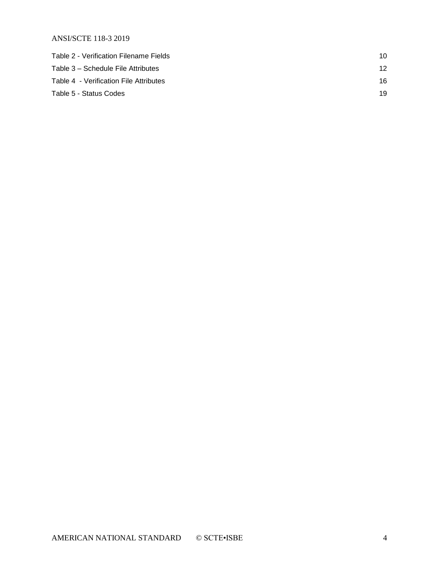| Table 2 - Verification Filename Fields | 10 |
|----------------------------------------|----|
| Table 3 – Schedule File Attributes     | 12 |
| Table 4 - Verification File Attributes | 16 |
| Table 5 - Status Codes                 | 19 |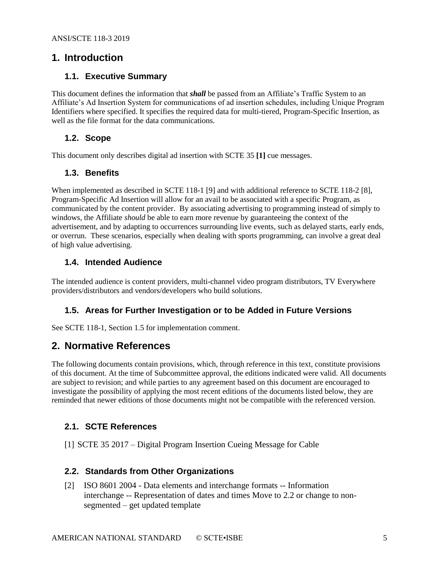## <span id="page-4-1"></span><span id="page-4-0"></span>**1. Introduction**

## **1.1. Executive Summary**

This document defines the information that *shall* be passed from an Affiliate's Traffic System to an Affiliate's Ad Insertion System for communications of ad insertion schedules, including Unique Program Identifiers where specified. It specifies the required data for multi-tiered, Program-Specific Insertion, as well as the file format for the data communications.

## <span id="page-4-2"></span>**1.2. Scope**

<span id="page-4-3"></span>This document only describes digital ad insertion with SCTE 35 **[\[1\]](#page-4-9)** cue messages.

## **1.3. Benefits**

When implemented as described in SCTE 118-1 [\[9\]](#page-5-5) and with additional reference to SCTE 118-2 [\[8\],](#page-5-6) Program-Specific Ad Insertion will allow for an avail to be associated with a specific Program, as communicated by the content provider. By associating advertising to programming instead of simply to windows, the Affiliate *should* be able to earn more revenue by guaranteeing the context of the advertisement, and by adapting to occurrences surrounding live events, such as delayed starts, early ends, or overrun. These scenarios, especially when dealing with sports programming, can involve a great deal of high value advertising.

## <span id="page-4-4"></span>**1.4. Intended Audience**

The intended audience is content providers, multi-channel video program distributors, TV Everywhere providers/distributors and vendors/developers who build solutions.

## <span id="page-4-5"></span>**1.5. Areas for Further Investigation or to be Added in Future Versions**

<span id="page-4-6"></span>See SCTE 118-1, Section 1.5 for implementation comment.

## **2. Normative References**

The following documents contain provisions, which, through reference in this text, constitute provisions of this document. At the time of Subcommittee approval, the editions indicated were valid. All documents are subject to revision; and while parties to any agreement based on this document are encouraged to investigate the possibility of applying the most recent editions of the documents listed below, they are reminded that newer editions of those documents might not be compatible with the referenced version.

## <span id="page-4-7"></span>**2.1. SCTE References**

<span id="page-4-9"></span>[1] SCTE 35 2017 – Digital Program Insertion Cueing Message for Cable

### <span id="page-4-8"></span>**2.2. Standards from Other Organizations**

<span id="page-4-10"></span>[2] ISO 8601 2004 - Data elements and interchange formats -- Information interchange -- Representation of dates and times Move to 2.2 or change to nonsegmented – get updated template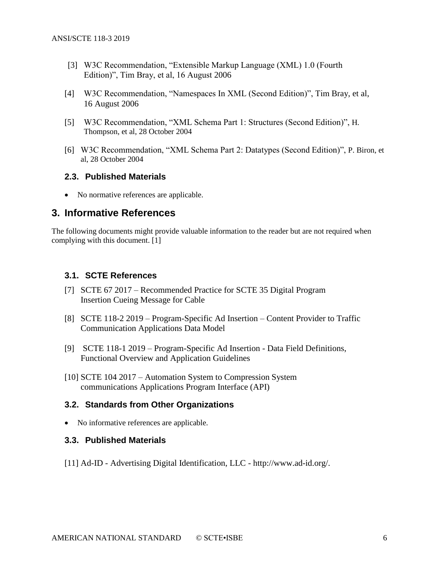- [3] W3C Recommendation, "Extensible Markup Language (XML) 1.0 (Fourth Edition)", Tim Bray, et al, 16 August 2006
- [4] W3C Recommendation, "Namespaces In XML (Second Edition)", Tim Bray, et al, 16 August 2006
- [5] W3C Recommendation, "XML Schema Part 1: Structures (Second Edition)", H. Thompson, et al, 28 October 2004
- [6] W3C Recommendation, "XML Schema Part 2: Datatypes (Second Edition)", P. Biron, et al, 28 October 2004

### <span id="page-5-0"></span>**2.3. Published Materials**

• No normative references are applicable.

## <span id="page-5-1"></span>**3. Informative References**

The following documents might provide valuable information to the reader but are not required when complying with this document. [\[1\]](#page-4-9)

### <span id="page-5-2"></span>**3.1. SCTE References**

- [7] SCTE 67 2017 Recommended Practice for SCTE 35 Digital Program Insertion Cueing Message for Cable
- <span id="page-5-6"></span>[8] SCTE 118-2 2019 – Program-Specific Ad Insertion – Content Provider to Traffic Communication Applications Data Model
- <span id="page-5-5"></span>[9] SCTE 118-1 2019 – Program-Specific Ad Insertion - Data Field Definitions, Functional Overview and Application Guidelines
- [10] SCTE 104 2017 Automation System to Compression System communications Applications Program Interface (API)

### <span id="page-5-3"></span>**3.2. Standards from Other Organizations**

<span id="page-5-4"></span>• No informative references are applicable.

### **3.3. Published Materials**

[11] Ad-ID - Advertising Digital Identification, LLC - [http://www.ad-id.org/.](http://www.ad-id.org/)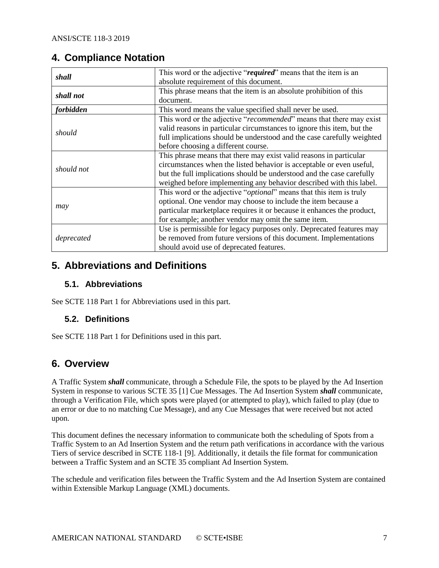## <span id="page-6-0"></span>**4. Compliance Notation**

| shall            | This word or the adjective "required" means that the item is an              |  |  |  |  |
|------------------|------------------------------------------------------------------------------|--|--|--|--|
|                  | absolute requirement of this document.                                       |  |  |  |  |
| shall not        | This phrase means that the item is an absolute prohibition of this           |  |  |  |  |
|                  | document.                                                                    |  |  |  |  |
| <i>forbidden</i> | This word means the value specified shall never be used.                     |  |  |  |  |
|                  | This word or the adjective "recommended" means that there may exist          |  |  |  |  |
|                  | valid reasons in particular circumstances to ignore this item, but the       |  |  |  |  |
| should           | full implications should be understood and the case carefully weighted       |  |  |  |  |
|                  | before choosing a different course.                                          |  |  |  |  |
|                  | This phrase means that there may exist valid reasons in particular           |  |  |  |  |
| should not       | circumstances when the listed behavior is acceptable or even useful,         |  |  |  |  |
|                  | but the full implications should be understood and the case carefully        |  |  |  |  |
|                  | weighed before implementing any behavior described with this label.          |  |  |  |  |
|                  | This word or the adjective " <i>optional</i> " means that this item is truly |  |  |  |  |
|                  | optional. One vendor may choose to include the item because a                |  |  |  |  |
| may              | particular marketplace requires it or because it enhances the product,       |  |  |  |  |
|                  | for example; another vendor may omit the same item.                          |  |  |  |  |
|                  | Use is permissible for legacy purposes only. Deprecated features may         |  |  |  |  |
| deprecated       | be removed from future versions of this document. Implementations            |  |  |  |  |
|                  | should avoid use of deprecated features.                                     |  |  |  |  |

## <span id="page-6-1"></span>**5. Abbreviations and Definitions**

## <span id="page-6-2"></span>**5.1. Abbreviations**

<span id="page-6-3"></span>See SCTE 118 Part 1 for Abbreviations used in this part.

## **5.2. Definitions**

See SCTE 118 Part 1 for Definitions used in this part.

## <span id="page-6-4"></span>**6. Overview**

A Traffic System *shall* communicate, through a Schedule File, the spots to be played by the Ad Insertion System in response to various SCTE 35 [\[1\]](#page-4-9) Cue Messages. The Ad Insertion System *shall* communicate, through a Verification File, which spots were played (or attempted to play), which failed to play (due to an error or due to no matching Cue Message), and any Cue Messages that were received but not acted upon.

This document defines the necessary information to communicate both the scheduling of Spots from a Traffic System to an Ad Insertion System and the return path verifications in accordance with the various Tiers of service described in SCTE 118-1 [\[9\].](#page-5-5) Additionally, it details the file format for communication between a Traffic System and an SCTE 35 compliant Ad Insertion System.

The schedule and verification files between the Traffic System and the Ad Insertion System are contained within Extensible Markup Language (XML) documents.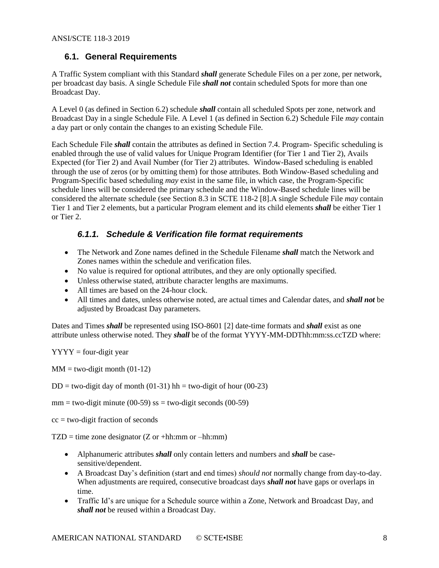## <span id="page-7-0"></span>**6.1. General Requirements**

A Traffic System compliant with this Standard *shall* generate Schedule Files on a per zone, per network, per broadcast day basis. A single Schedule File *shall not* contain scheduled Spots for more than one Broadcast Day.

A Level 0 (as defined in Section 6.2) schedule *shall* contain all scheduled Spots per zone, network and Broadcast Day in a single Schedule File. A Level 1 (as defined in Section 6.2) Schedule File *may* contain a day part or only contain the changes to an existing Schedule File.

Each Schedule File *shall* contain the attributes as defined in Section 7.4. Program- Specific scheduling is enabled through the use of valid values for Unique Program Identifier (for Tier 1 and Tier 2), Avails Expected (for Tier 2) and Avail Number (for Tier 2) attributes. Window-Based scheduling is enabled through the use of zeros (or by omitting them) for those attributes. Both Window-Based scheduling and Program-Specific based scheduling *may* exist in the same file, in which case, the Program-Specific schedule lines will be considered the primary schedule and the Window-Based schedule lines will be considered the alternate schedule (see Section 8.3 in SCTE 118-2 [\[8\].](#page-5-6)A single Schedule File *may* contain Tier 1 and Tier 2 elements, but a particular Program element and its child elements *shall* be either Tier 1 or Tier 2.

## <span id="page-7-1"></span>*6.1.1. Schedule & Verification file format requirements*

- The Network and Zone names defined in the Schedule Filename *shall* match the Network and Zones names within the schedule and verification files.
- No value is required for optional attributes, and they are only optionally specified.
- Unless otherwise stated, attribute character lengths are maximums.
- All times are based on the 24-hour clock.
- All times and dates, unless otherwise noted, are actual times and Calendar dates, and *shall not* be adjusted by Broadcast Day parameters.

Dates and Times *shall* be represented using ISO-860[1 \[2\]](#page-4-10) date-time formats and *shall* exist as one attribute unless otherwise noted. They *shall* be of the format YYYY-MM-DDThh:mm:ss.ccTZD where:

 $YYYY =$  four-digit year

 $MM = two-digit month (01-12)$ 

 $DD = two-digit day of month (01-31) hh = two-digit of hour (00-23)$ 

 $mm = two-digit minute (00-59)$  ss = two-digit seconds (00-59)

 $cc = two$ -digit fraction of seconds

 $TZD = time zone designer (Z or +hh:mm or -hh:mm)$ 

- Alphanumeric attributes *shall* only contain letters and numbers and *shall* be casesensitive/dependent.
- A Broadcast Day's definition (start and end times) *should not* normally change from day-to-day. When adjustments are required, consecutive broadcast days *shall not* have gaps or overlaps in time.
- Traffic Id's are unique for a Schedule source within a Zone, Network and Broadcast Day, and *shall not* be reused within a Broadcast Day.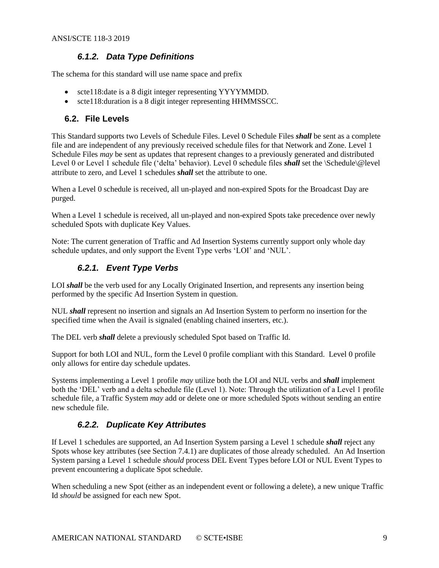## *6.1.2. Data Type Definitions*

<span id="page-8-0"></span>The schema for this standard will use name space and prefix

- scte118:date is a 8 digit integer representing YYYYMMDD.
- scte118: duration is a 8 digit integer representing HHMMSSCC.

## <span id="page-8-1"></span>**6.2. File Levels**

This Standard supports two Levels of Schedule Files. Level 0 Schedule Files *shall* be sent as a complete file and are independent of any previously received schedule files for that Network and Zone. Level 1 Schedule Files *may* be sent as updates that represent changes to a previously generated and distributed Level 0 or Level 1 schedule file ('delta' behavior). Level 0 schedule files *shall* set the \Schedule\@level attribute to zero, and Level 1 schedules *shall* set the attribute to one.

When a Level 0 schedule is received, all un-played and non-expired Spots for the Broadcast Day are purged.

When a Level 1 schedule is received, all un-played and non-expired Spots take precedence over newly scheduled Spots with duplicate Key Values.

<span id="page-8-2"></span>Note: The current generation of Traffic and Ad Insertion Systems currently support only whole day schedule updates, and only support the Event Type verbs 'LOI' and 'NUL'.

## *6.2.1. Event Type Verbs*

LOI *shall* be the verb used for any Locally Originated Insertion, and represents any insertion being performed by the specific Ad Insertion System in question.

NUL *shall* represent no insertion and signals an Ad Insertion System to perform no insertion for the specified time when the Avail is signaled (enabling chained inserters, etc.).

The DEL verb *shall* delete a previously scheduled Spot based on Traffic Id.

Support for both LOI and NUL, form the Level 0 profile compliant with this Standard. Level 0 profile only allows for entire day schedule updates.

Systems implementing a Level 1 profile *may* utilize both the LOI and NUL verbs and *shall* implement both the 'DEL' verb and a delta schedule file (Level 1). Note: Through the utilization of a Level 1 profile schedule file, a Traffic System *may* add or delete one or more scheduled Spots without sending an entire new schedule file.

## *6.2.2. Duplicate Key Attributes*

<span id="page-8-3"></span>If Level 1 schedules are supported, an Ad Insertion System parsing a Level 1 schedule *shall* reject any Spots whose key attributes (see Section 7.4.1) are duplicates of those already scheduled. An Ad Insertion System parsing a Level 1 schedule *should* process DEL Event Types before LOI or NUL Event Types to prevent encountering a duplicate Spot schedule.

When scheduling a new Spot (either as an independent event or following a delete), a new unique Traffic Id *should* be assigned for each new Spot.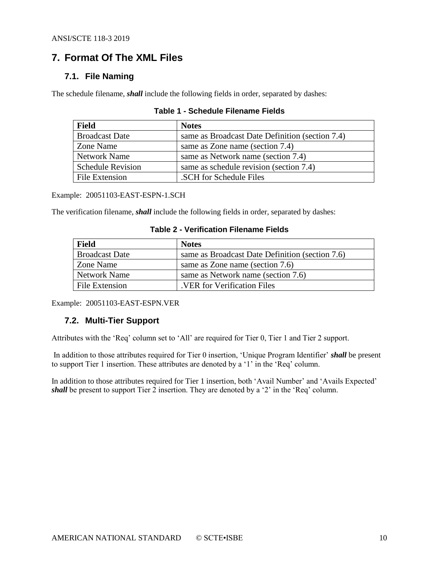## <span id="page-9-0"></span>**7. Format Of The XML Files**

## <span id="page-9-1"></span>**7.1. File Naming**

<span id="page-9-3"></span>The schedule filename, *shall* include the following fields in order, separated by dashes:

| <b>Field</b>             | <b>Notes</b>                                    |
|--------------------------|-------------------------------------------------|
| <b>Broadcast Date</b>    | same as Broadcast Date Definition (section 7.4) |
| Zone Name                | same as Zone name (section 7.4)                 |
| <b>Network Name</b>      | same as Network name (section 7.4)              |
| <b>Schedule Revision</b> | same as schedule revision (section 7.4)         |
| File Extension           | SCH for Schedule Files                          |

## **Table 1 - Schedule Filename Fields**

Example: 20051103-EAST-ESPN-1.SCH

<span id="page-9-4"></span>The verification filename, *shall* include the following fields in order, separated by dashes:

| Field                 | <b>Notes</b>                                    |
|-----------------------|-------------------------------------------------|
| <b>Broadcast Date</b> | same as Broadcast Date Definition (section 7.6) |
| Zone Name             | same as Zone name (section 7.6)                 |
| <b>Network Name</b>   | same as Network name (section 7.6)              |
| File Extension        | VER for Verification Files                      |

**Table 2 - Verification Filename Fields**

<span id="page-9-2"></span>Example: 20051103-EAST-ESPN.VER

## **7.2. Multi-Tier Support**

Attributes with the 'Req' column set to 'All' are required for Tier 0, Tier 1 and Tier 2 support.

In addition to those attributes required for Tier 0 insertion, 'Unique Program Identifier' *shall* be present to support Tier 1 insertion. These attributes are denoted by a '1' in the 'Req' column.

In addition to those attributes required for Tier 1 insertion, both 'Avail Number' and 'Avails Expected' *shall* be present to support Tier 2 insertion. They are denoted by a '2' in the 'Req' column.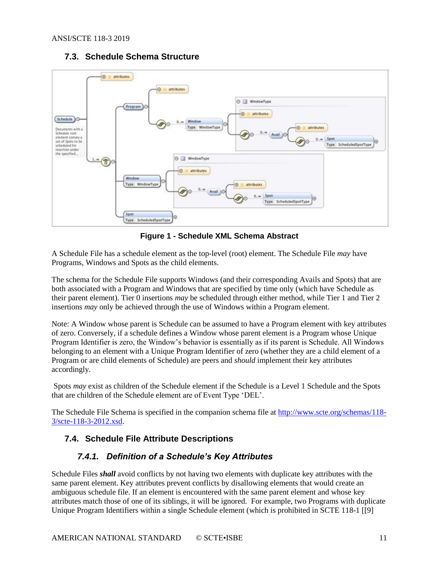## **7.3. Schedule Schema Structure**

<span id="page-10-0"></span>

**Figure 1 - Schedule XML Schema Abstract**

<span id="page-10-3"></span>A Schedule File has a schedule element as the top-level (root) element. The Schedule File *may* have Programs, Windows and Spots as the child elements.

The schema for the Schedule File supports Windows (and their corresponding Avails and Spots) that are both associated with a Program and Windows that are specified by time only (which have Schedule as their parent element). Tier 0 insertions *may* be scheduled through either method, while Tier 1 and Tier 2 insertions *may* only be achieved through the use of Windows within a Program element.

Note: A Window whose parent is Schedule can be assumed to have a Program element with key attributes of zero. Conversely, if a schedule defines a Window whose parent element is a Program whose Unique Program Identifier is zero, the Window's behavior is essentially as if its parent is Schedule. All Windows belonging to an element with a Unique Program Identifier of zero (whether they are a child element of a Program or are child elements of Schedule) are peers and *should* implement their key attributes accordingly.

Spots *may* exist as children of the Schedule element if the Schedule is a Level 1 Schedule and the Spots that are children of the Schedule element are of Event Type 'DEL'.

The Schedule File Schema is specified in the companion schema file at [http://www.scte.org/schemas/118-](http://www.scte.org/schemas/118-3/scte-118-3-2012.xsd) [3/scte-118-3-2012.xsd.](http://www.scte.org/schemas/118-3/scte-118-3-2012.xsd)

## <span id="page-10-2"></span><span id="page-10-1"></span>**7.4. Schedule File Attribute Descriptions**

## *7.4.1. Definition of a Schedule's Key Attributes*

Schedule Files *shall* avoid conflicts by not having two elements with duplicate key attributes with the same parent element. Key attributes prevent conflicts by disallowing elements that would create an ambiguous schedule file. If an element is encountered with the same parent element and whose key attributes match those of one of its siblings, it will be ignored. For example, two Programs with duplicate Unique Program Identifiers within a single Schedule element (which is prohibited in SCTE 118-1 [\[\[9\]](#page-5-5)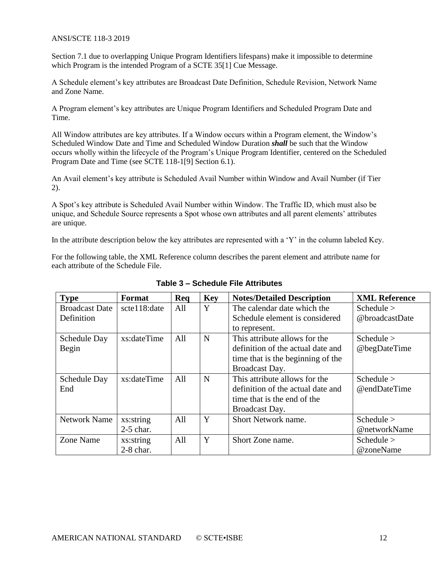Section 7.1 due to overlapping Unique Program Identifiers lifespans) make it impossible to determine which Program is the intended Program of a SCTE 35[1] Cue Message.

A Schedule element's key attributes are Broadcast Date Definition, Schedule Revision, Network Name and Zone Name.

A Program element's key attributes are Unique Program Identifiers and Scheduled Program Date and Time.

All Window attributes are key attributes. If a Window occurs within a Program element, the Window's Scheduled Window Date and Time and Scheduled Window Duration *shall* be such that the Window occurs wholly within the lifecycle of the Program's Unique Program Identifier, centered on the Scheduled Program Date and Time (see SCTE 118-[1\[9\]](#page-5-5) Section 6.1).

An Avail element's key attribute is Scheduled Avail Number within Window and Avail Number (if Tier 2).

A Spot's key attribute is Scheduled Avail Number within Window. The Traffic ID, which must also be unique, and Schedule Source represents a Spot whose own attributes and all parent elements' attributes are unique.

In the attribute description below the key attributes are represented with a 'Y' in the column labeled Key.

<span id="page-11-0"></span>For the following table, the XML Reference column describes the parent element and attribute name for each attribute of the Schedule File.

| <b>Type</b>           | Format       | Req | <b>Key</b> | <b>Notes/Detailed Description</b> | <b>XML Reference</b> |
|-----------------------|--------------|-----|------------|-----------------------------------|----------------------|
| <b>Broadcast Date</b> | scte118:date | All | Y          | The calendar date which the       | Schedule $>$         |
| Definition            |              |     |            | Schedule element is considered    | @broadcastDate       |
|                       |              |     |            | to represent.                     |                      |
| Schedule Day          | xs:dateTime  | All | N          | This attribute allows for the     | Schedule $>$         |
| Begin                 |              |     |            | definition of the actual date and | @begDateTime         |
|                       |              |     |            | time that is the beginning of the |                      |
|                       |              |     |            | Broadcast Day.                    |                      |
| Schedule Day          | xs:dateTime  | All | N          | This attribute allows for the     | Schedule $>$         |
| End                   |              |     |            | definition of the actual date and | @endDateTime         |
|                       |              |     |            | time that is the end of the       |                      |
|                       |              |     |            | Broadcast Day.                    |                      |
| <b>Network Name</b>   | xs:string    | All | Y          | Short Network name.               | Schedule $>$         |
|                       | $2-5$ char.  |     |            |                                   | @networkName         |
| Zone Name             | xs:string    | All | Y          | Short Zone name.                  | Schedule $>$         |
|                       | $2-8$ char.  |     |            |                                   | @zoneName            |

**Table 3 – Schedule File Attributes**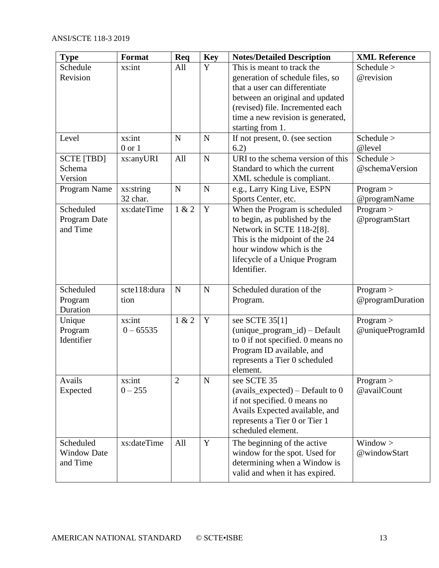| <b>Type</b>          | Format                  | Req            | <b>Key</b>  | <b>Notes/Detailed Description</b>                                 | <b>XML Reference</b>          |
|----------------------|-------------------------|----------------|-------------|-------------------------------------------------------------------|-------------------------------|
| Schedule<br>Revision | xs:int                  | All            | Y           | This is meant to track the                                        | Schedule ><br>@revision       |
|                      |                         |                |             | generation of schedule files, so<br>that a user can differentiate |                               |
|                      |                         |                |             | between an original and updated                                   |                               |
|                      |                         |                |             | (revised) file. Incremented each                                  |                               |
|                      |                         |                |             | time a new revision is generated,                                 |                               |
|                      |                         |                |             | starting from 1.                                                  |                               |
| Level                | xs:int                  | $\mathbf N$    | $\mathbf N$ | If not present, 0. (see section                                   | Schedule $>$                  |
| <b>SCTE [TBD]</b>    | $0$ or $1$<br>xs:anyURI | All            | $\mathbf N$ | 6.2)<br>URI to the schema version of this                         | @level<br>Schedule >          |
| Schema               |                         |                |             | Standard to which the current                                     | @schemaVersion                |
| Version              |                         |                |             | XML schedule is compliant.                                        |                               |
| Program Name         | xs:string               | $\mathbf N$    | $\mathbf N$ | e.g., Larry King Live, ESPN                                       | Program >                     |
|                      | 32 char.                |                |             | Sports Center, etc.                                               | @programName                  |
| Scheduled            | xs:dateTime             | 1 & 2          | $\mathbf Y$ | When the Program is scheduled                                     | Program >                     |
| Program Date         |                         |                |             | to begin, as published by the                                     | @programStart                 |
| and Time             |                         |                |             | Network in SCTE 118-2[8].<br>This is the midpoint of the 24       |                               |
|                      |                         |                |             | hour window which is the                                          |                               |
|                      |                         |                |             | lifecycle of a Unique Program                                     |                               |
|                      |                         |                |             | Identifier.                                                       |                               |
|                      |                         |                |             |                                                                   |                               |
| Scheduled            | scte118:dura            | $\mathbf N$    | $\mathbf N$ | Scheduled duration of the                                         | Program >                     |
| Program              | tion                    |                |             | Program.                                                          | @programDuration              |
| Duration             |                         |                |             |                                                                   |                               |
| Unique<br>Program    | xs:int<br>$0 - 65535$   | 1 & 2          | Y           | see SCTE 35[1]<br>$(unique\_program_id) - Default$                | Program ><br>@uniqueProgramId |
| Identifier           |                         |                |             | to 0 if not specified. 0 means no                                 |                               |
|                      |                         |                |             | Program ID available, and                                         |                               |
|                      |                         |                |             | represents a Tier 0 scheduled                                     |                               |
|                      |                         |                |             | element.                                                          |                               |
| Avails               | xs:int                  | $\overline{2}$ | ${\bf N}$   | see SCTE 35                                                       | Program >                     |
| Expected             | $0 - 255$               |                |             | $(avails\_expected) - Default to 0$                               | @availCount                   |
|                      |                         |                |             | if not specified. 0 means no                                      |                               |
|                      |                         |                |             | Avails Expected available, and<br>represents a Tier 0 or Tier 1   |                               |
|                      |                         |                |             | scheduled element.                                                |                               |
| Scheduled            | xs:dateTime             | All            | $\mathbf Y$ | The beginning of the active                                       | Window >                      |
| <b>Window Date</b>   |                         |                |             | window for the spot. Used for                                     | @windowStart                  |
| and Time             |                         |                |             | determining when a Window is                                      |                               |
|                      |                         |                |             | valid and when it has expired.                                    |                               |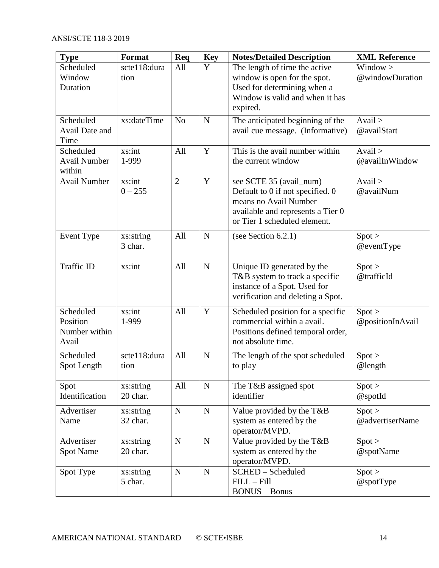| <b>Type</b>                                     | <b>Format</b>         | Req            | <b>Key</b>  | <b>Notes/Detailed Description</b>                                                                                                                           | <b>XML Reference</b>           |
|-------------------------------------------------|-----------------------|----------------|-------------|-------------------------------------------------------------------------------------------------------------------------------------------------------------|--------------------------------|
| Scheduled<br>Window<br>Duration                 | scte118:dura<br>tion  | All            | Y           | The length of time the active<br>window is open for the spot.<br>Used for determining when a<br>Window is valid and when it has<br>expired.                 | Window ><br>@windowDuration    |
| Scheduled<br><b>Avail Date and</b><br>Time      | xs:dateTime           | N <sub>o</sub> | $\mathbf N$ | The anticipated beginning of the<br>avail cue message. (Informative)                                                                                        | $A$ vail $>$<br>@availStart    |
| Scheduled<br><b>Avail Number</b><br>within      | xs:int<br>1-999       | All            | Y           | This is the avail number within<br>the current window                                                                                                       | $A$ vail $>$<br>@availInWindow |
| <b>Avail Number</b>                             | xs:int<br>$0 - 255$   | $\overline{2}$ | Y           | see SCTE 35 (avail_num) -<br>Default to 0 if not specified. 0<br>means no Avail Number<br>available and represents a Tier 0<br>or Tier 1 scheduled element. | $A$ vail $>$<br>@availNum      |
| <b>Event Type</b>                               | xs:string<br>3 char.  | All            | $\mathbf N$ | (see Section $6.2.1$ )                                                                                                                                      | Spot ><br>$@$ eventType        |
| Traffic ID                                      | xs:int                | All            | $\mathbf N$ | Unique ID generated by the<br>T&B system to track a specific<br>instance of a Spot. Used for<br>verification and deleting a Spot.                           | Spot ><br>@trafficId           |
| Scheduled<br>Position<br>Number within<br>Avail | xs:int<br>1-999       | All            | Y           | Scheduled position for a specific<br>commercial within a avail.<br>Positions defined temporal order,<br>not absolute time.                                  | Spot ><br>@positionInAvail     |
| Scheduled<br>Spot Length                        | scte118:dura<br>tion  | All            | $\mathbf N$ | The length of the spot scheduled<br>to play                                                                                                                 | Spot ><br>@length              |
| Spot<br>Identification                          | xs:string<br>20 char. | All            | ${\bf N}$   | The T&B assigned spot<br>identifier                                                                                                                         | Spot ><br>@spotId              |
| Advertiser<br>Name                              | xs:string<br>32 char. | $\mathbf N$    | ${\bf N}$   | Value provided by the T&B<br>system as entered by the<br>operator/MVPD.                                                                                     | Spot ><br>@advertiserName      |
| Advertiser<br><b>Spot Name</b>                  | xs:string<br>20 char. | $\mathbf N$    | ${\bf N}$   | Value provided by the T&B<br>system as entered by the<br>operator/MVPD.                                                                                     | Spot ><br>@spotName            |
| Spot Type                                       | xs:string<br>5 char.  | $\mathbf N$    | ${\bf N}$   | SCHED-Scheduled<br>$FILL - Fill$<br><b>BONUS</b> - Bonus                                                                                                    | Spot ><br>$@$ spotType         |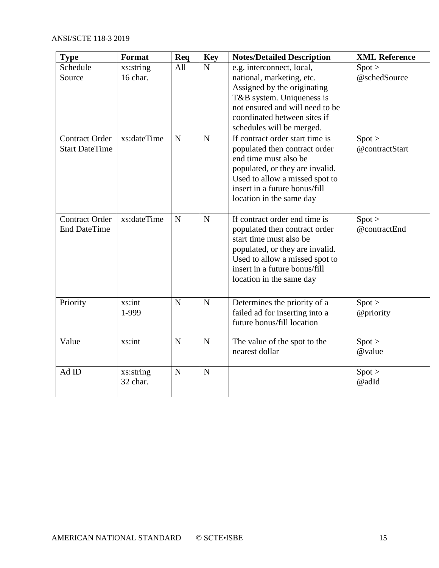| <b>Type</b>                                    | <b>Format</b>         | Req         | <b>Key</b>  | <b>Notes/Detailed Description</b>                                                                                                                                                                                           | <b>XML Reference</b>     |
|------------------------------------------------|-----------------------|-------------|-------------|-----------------------------------------------------------------------------------------------------------------------------------------------------------------------------------------------------------------------------|--------------------------|
| Schedule<br>Source                             | xs:string<br>16 char. | All         | $\mathbf N$ | e.g. interconnect, local,<br>national, marketing, etc.<br>Assigned by the originating<br>T&B system. Uniqueness is<br>not ensured and will need to be<br>coordinated between sites if<br>schedules will be merged.          | Spot ><br>@schedSource   |
| <b>Contract Order</b><br><b>Start DateTime</b> | xs:dateTime           | $\mathbf N$ | $\mathbf N$ | If contract order start time is<br>populated then contract order<br>end time must also be<br>populated, or they are invalid.<br>Used to allow a missed spot to<br>insert in a future bonus/fill<br>location in the same day | Spot ><br>@contractStart |
| <b>Contract Order</b><br><b>End DateTime</b>   | xs:dateTime           | $\mathbf N$ | $\mathbf N$ | If contract order end time is<br>populated then contract order<br>start time must also be<br>populated, or they are invalid.<br>Used to allow a missed spot to<br>insert in a future bonus/fill<br>location in the same day | Spot ><br>@contractEnd   |
| Priority                                       | xs:int<br>1-999       | N           | $\mathbf N$ | Determines the priority of a<br>failed ad for inserting into a<br>future bonus/fill location                                                                                                                                | Spot ><br>@priority      |
| Value                                          | xs:int                | N           | $\mathbf N$ | The value of the spot to the<br>nearest dollar                                                                                                                                                                              | Spot ><br>@value         |
| Ad ID                                          | xs:string<br>32 char. | $\mathbf N$ | $\mathbf N$ |                                                                                                                                                                                                                             | Spot ><br>@adId          |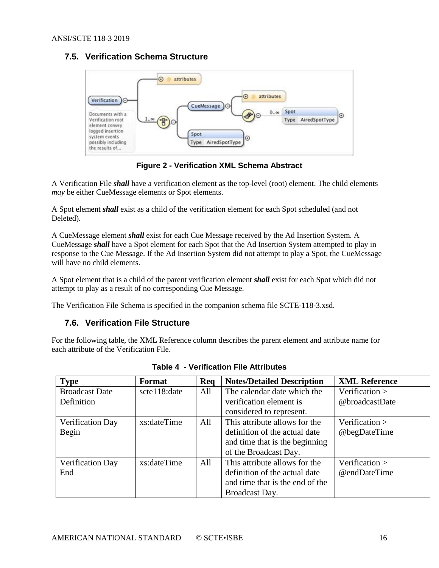## <span id="page-15-0"></span>**7.5. Verification Schema Structure**



**Figure 2 - Verification XML Schema Abstract**

<span id="page-15-2"></span>A Verification File *shall* have a verification element as the top-level (root) element. The child elements *may* be either CueMessage elements or Spot elements.

A Spot element *shall* exist as a child of the verification element for each Spot scheduled (and not Deleted).

A CueMessage element *shall* exist for each Cue Message received by the Ad Insertion System. A CueMessage *shall* have a Spot element for each Spot that the Ad Insertion System attempted to play in response to the Cue Message. If the Ad Insertion System did not attempt to play a Spot, the CueMessage will have no child elements.

A Spot element that is a child of the parent verification element *shall* exist for each Spot which did not attempt to play as a result of no corresponding Cue Message.

<span id="page-15-1"></span>The Verification File Schema is specified in the companion schema file SCTE-118-3.xsd.

## **7.6. Verification File Structure**

<span id="page-15-3"></span>For the following table, the XML Reference column describes the parent element and attribute name for each attribute of the Verification File.

| <b>Type</b>           | Format       | Req | <b>Notes/Detailed Description</b> | <b>XML Reference</b> |
|-----------------------|--------------|-----|-----------------------------------|----------------------|
| <b>Broadcast Date</b> | scte118:date | All | The calendar date which the       | Verification $>$     |
| Definition            |              |     | verification element is           | @broadcastDate       |
|                       |              |     | considered to represent.          |                      |
| Verification Day      | xs:dateTime  | All | This attribute allows for the     | Verification $>$     |
| Begin                 |              |     | definition of the actual date     | @begDateTime         |
|                       |              |     | and time that is the beginning    |                      |
|                       |              |     | of the Broadcast Day.             |                      |
| Verification Day      | xs:dateTime  | All | This attribute allows for the     | Verification $>$     |
| End                   |              |     | definition of the actual date     | @endDateTime         |
|                       |              |     | and time that is the end of the   |                      |
|                       |              |     | Broadcast Day.                    |                      |

**Table 4 - Verification File Attributes**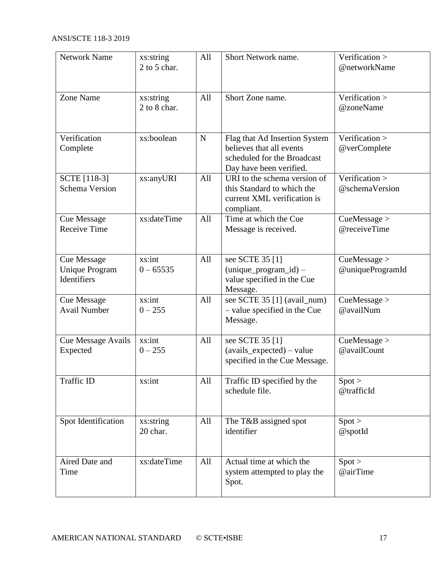| <b>Network Name</b>                                        | xs:string<br>2 to 5 char. | All       | Short Network name.                                                                                                 | Verification ><br>@networkName   |
|------------------------------------------------------------|---------------------------|-----------|---------------------------------------------------------------------------------------------------------------------|----------------------------------|
| Zone Name                                                  | xs:string<br>2 to 8 char. | All       | Short Zone name.                                                                                                    | Verification ><br>@zoneName      |
| Verification<br>Complete                                   | xs:boolean                | ${\bf N}$ | Flag that Ad Insertion System<br>believes that all events<br>scheduled for the Broadcast<br>Day have been verified. | Verification ><br>@verComplete   |
| SCTE [118-3]<br><b>Schema Version</b>                      | xs:anyURI                 | All       | URI to the schema version of<br>this Standard to which the<br>current XML verification is<br>compliant.             | Verification ><br>@schemaVersion |
| <b>Cue Message</b><br><b>Receive Time</b>                  | xs:dateTime               | All       | Time at which the Cue<br>Message is received.                                                                       | CueMessage ><br>@receiveTime     |
| <b>Cue Message</b><br><b>Unique Program</b><br>Identifiers | xs:int<br>$0 - 65535$     | All       | see SCTE 35 [1]<br>$(unique\_program_id)$ –<br>value specified in the Cue<br>Message.                               | CueMessage ><br>@uniqueProgramId |
| <b>Cue Message</b><br><b>Avail Number</b>                  | xs:int<br>$0 - 255$       | All       | see SCTE 35 [1] (avail_num)<br>- value specified in the Cue<br>Message.                                             | CueMessage ><br>@availNum        |
| Cue Message Avails<br>Expected                             | xs:int<br>$0 - 255$       | All       | see SCTE 35 [1]<br>$(avails\_expected) - value$<br>specified in the Cue Message.                                    | CueMessage ><br>@availCount      |
| Traffic ID                                                 | xs:int                    | All       | Traffic ID specified by the<br>schedule file.                                                                       | Spot ><br>@trafficId             |
| Spot Identification                                        | xs:string<br>20 char.     | All       | The T&B assigned spot<br>identifier                                                                                 | Spot ><br>@spotId                |
| Aired Date and<br>Time                                     | xs:dateTime               | All       | Actual time at which the<br>system attempted to play the<br>Spot.                                                   | Spot ><br>@airTime               |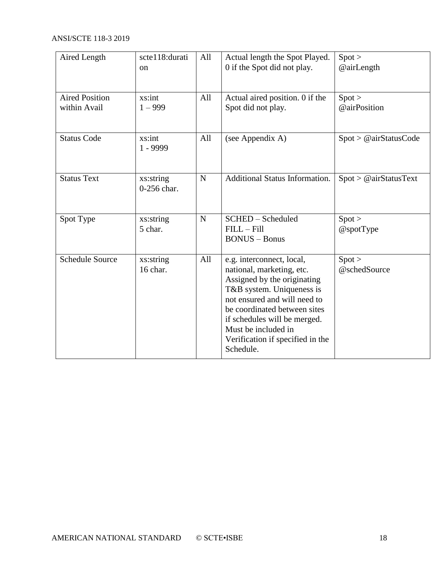| Aired Length                          | scte118:durati<br><sub>on</sub> | All         | Actual length the Spot Played.<br>0 if the Spot did not play.                                                                                                                                                                                                                              | Spot ><br>@airLength   |
|---------------------------------------|---------------------------------|-------------|--------------------------------------------------------------------------------------------------------------------------------------------------------------------------------------------------------------------------------------------------------------------------------------------|------------------------|
| <b>Aired Position</b><br>within Avail | xs:int<br>$1 - 999$             | All         | Actual aired position. 0 if the<br>Spot did not play.                                                                                                                                                                                                                                      | Spot ><br>@airPosition |
| <b>Status Code</b>                    | xs:int<br>1 - 9999              | All         | (see Appendix A)                                                                                                                                                                                                                                                                           | Spot > @airStatusCode  |
| <b>Status Text</b>                    | xs:string<br>0-256 char.        | $\mathbf N$ | Additional Status Information.                                                                                                                                                                                                                                                             | Spot > @airStatusText  |
| Spot Type                             | xs:string<br>5 char.            | $\mathbf N$ | SCHED - Scheduled<br>$FILL - Fill$<br><b>BONUS</b> - Bonus                                                                                                                                                                                                                                 | Spot ><br>$@$ spotType |
| <b>Schedule Source</b>                | xs:string<br>16 char.           | All         | e.g. interconnect, local,<br>national, marketing, etc.<br>Assigned by the originating<br>T&B system. Uniqueness is<br>not ensured and will need to<br>be coordinated between sites<br>if schedules will be merged.<br>Must be included in<br>Verification if specified in the<br>Schedule. | Spot ><br>@schedSource |